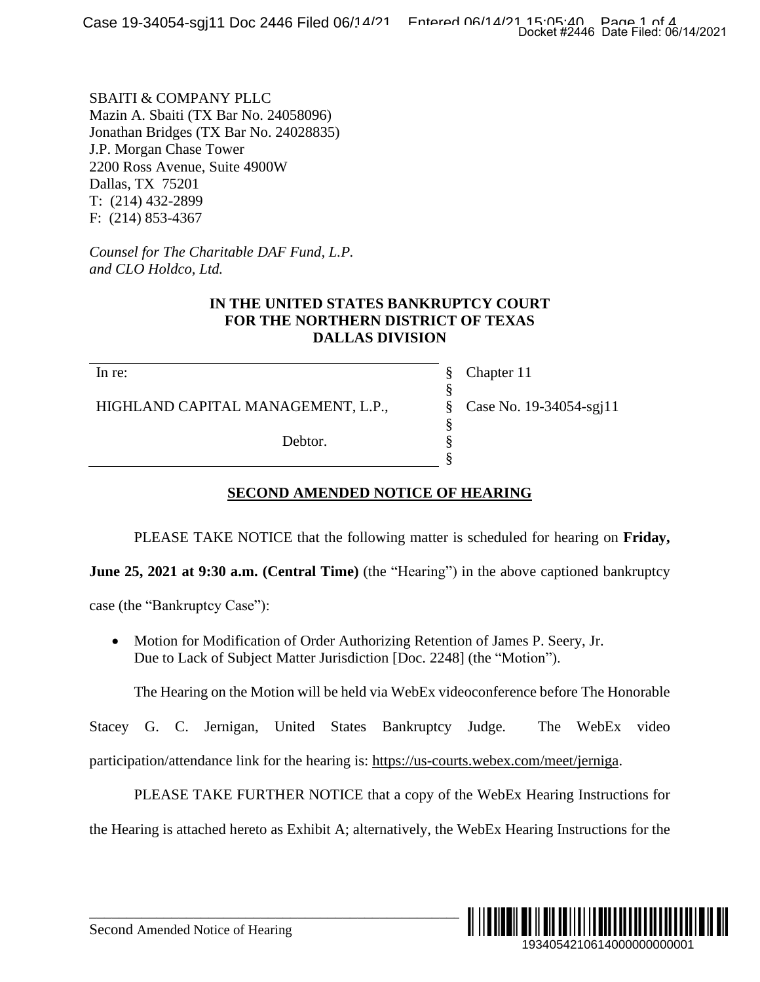SBAITI & COMPANY PLLC Mazin A. Sbaiti (TX Bar No. 24058096) Jonathan Bridges (TX Bar No. 24028835) J.P. Morgan Chase Tower 2200 Ross Avenue, Suite 4900W Dallas, TX 75201 T: (214) 432-2899 F: (214) 853-4367

*Counsel for The Charitable DAF Fund, L.P. and CLO Holdco, Ltd.*

### **IN THE UNITED STATES BANKRUPTCY COURT FOR THE NORTHERN DISTRICT OF TEXAS DALLAS DIVISION**

In re:

HIGHLAND CAPITAL MANAGEMENT, L.P.,

Debtor.

Chapter 11 Case No. 19-34054-sgj11

## **SECOND AMENDED NOTICE OF HEARING**

PLEASE TAKE NOTICE that the following matter is scheduled for hearing on **Friday,**

§ § § § § §

**June 25, 2021 at 9:30 a.m. (Central Time)** (the "Hearing") in the above captioned bankruptcy

case (the "Bankruptcy Case"):

• Motion for Modification of Order Authorizing Retention of James P. Seery, Jr. Due to Lack of Subject Matter Jurisdiction [Doc. 2248] (the "Motion").

The Hearing on the Motion will be held via WebEx videoconference before The Honorable

Stacey G. C. Jernigan, United States Bankruptcy Judge. The WebEx video participation/attendance link for the hearing is: [https://us-courts.webex.com/meet/jerniga.](https://us-courts.webex.com/meet/jerniga)

PLEASE TAKE FURTHER NOTICE that a copy of the WebEx Hearing Instructions for the Hearing is attached hereto as Exhibit A; alternatively, the WebEx Hearing Instructions for the

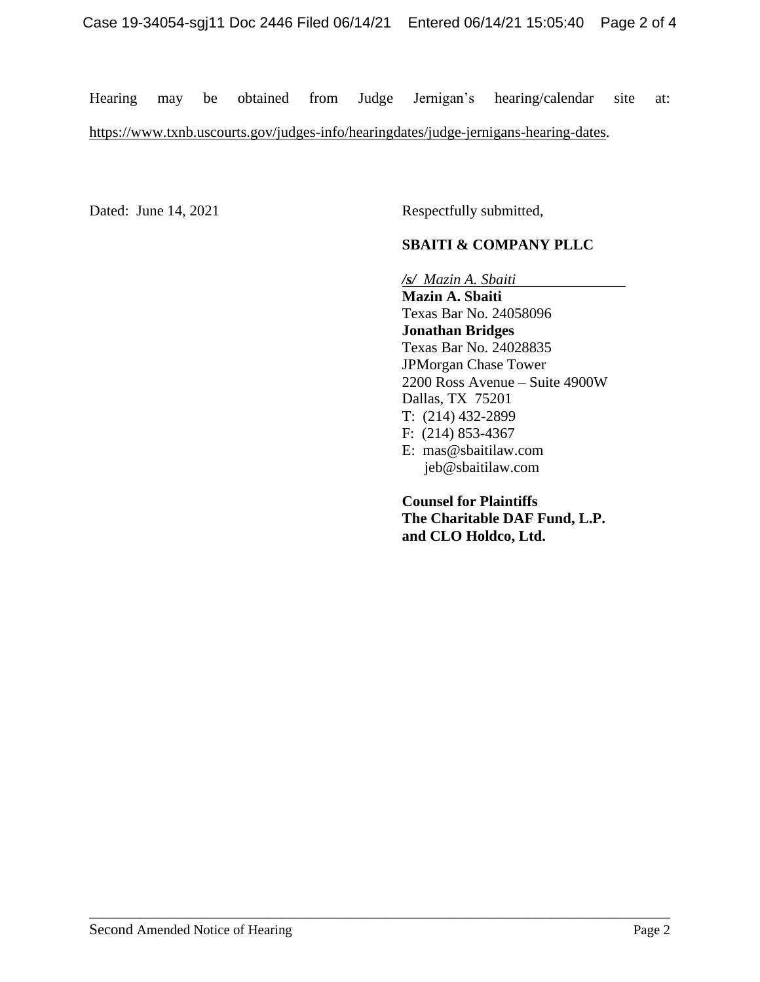Hearing may be obtained from Judge Jernigan's hearing/calendar site at: [https://www.txnb.uscourts.gov/judges-info/hearingdates/judge-jernigans-hearing-dates.](https://www.txnb.uscourts.gov/judges-info/hearingdates/judge-jernigans-hearing-dates)

\_\_\_\_\_\_\_\_\_\_\_\_\_\_\_\_\_\_\_\_\_\_\_\_\_\_\_\_\_\_\_\_\_\_\_\_\_\_\_\_\_\_\_\_\_\_\_\_\_\_\_\_\_\_\_\_\_\_\_\_\_\_\_\_\_\_\_\_\_\_\_\_\_\_\_\_\_\_

Dated: June 14, 2021 Respectfully submitted,

## **SBAITI & COMPANY PLLC**

*/s/**Mazin A. Sbaiti*

**Mazin A. Sbaiti** Texas Bar No. 24058096 **Jonathan Bridges** Texas Bar No. 24028835 JPMorgan Chase Tower 2200 Ross Avenue – Suite 4900W Dallas, TX 75201 T: (214) 432-2899 F: (214) 853-4367 E: [mas@sbaitilaw.com](mailto:mas@sbaitilaw.com) [jeb@sbaitilaw.com](mailto:jeb@sbaitilaw.com)

**Counsel for Plaintiffs The Charitable DAF Fund, L.P. and CLO Holdco, Ltd.**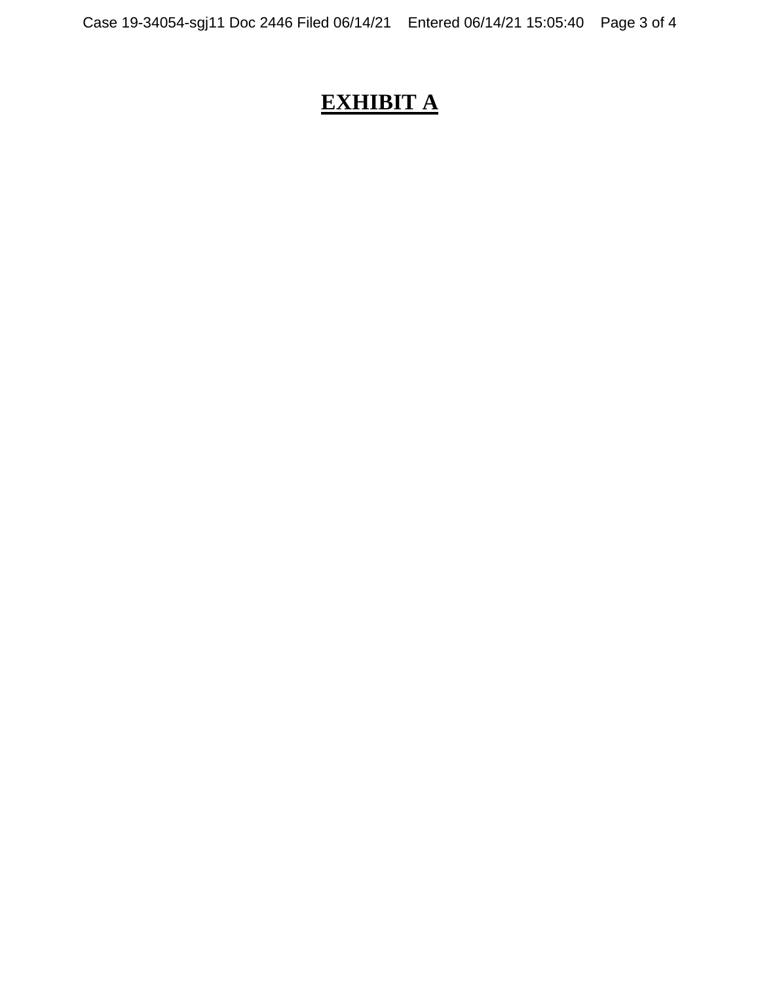# **EXHIBIT A**